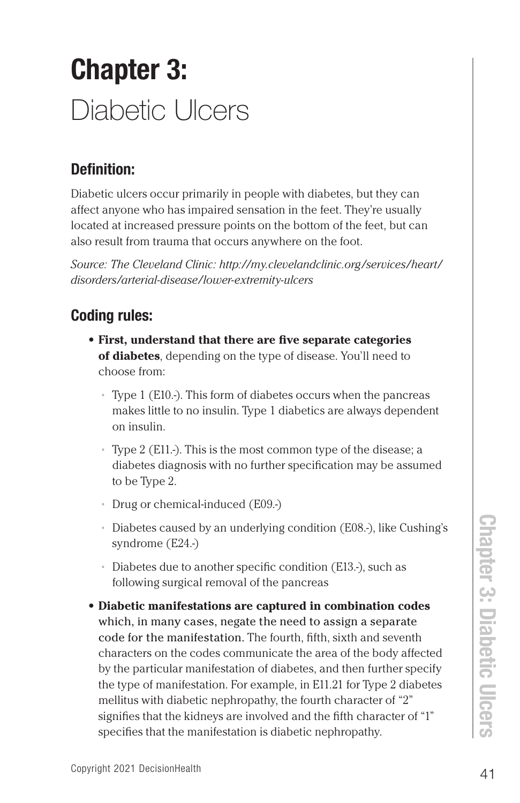## Chapter 3: Diabetic Ulcers

## Definition:

Diabetic ulcers occur primarily in people with diabetes, but they can affect anyone who has impaired sensation in the feet. They're usually located at increased pressure points on the bottom of the feet, but can also result from trauma that occurs anywhere on the foot.

*Source: The Cleveland Clinic: http://my.clevelandclinic.org/services/heart/ disorders/arterial-disease/lower-extremity-ulcers*

## Coding rules:

- **• First, understand that there are five separate categories of diabetes**, depending on the type of disease. You'll need to choose from:
	- ° Type 1 (E10.-). This form of diabetes occurs when the pancreas makes little to no insulin. Type 1 diabetics are always dependent on insulin.
	- ° Type 2 (E11.-). This is the most common type of the disease; a diabetes diagnosis with no further specification may be assumed to be Type 2.
	- ° Drug or chemical-induced (E09.-)
	- ° Diabetes caused by an underlying condition (E08.-), like Cushing's syndrome (E24.-)
	- ° Diabetes due to another specific condition (E13.-), such as following surgical removal of the pancreas
- 41 Diabetes caused by an underlying condition (E08.-), like Cushing's<br>
syndrome (E24.-)<br>
42 Diabetes due to another specific condition (E13.-), such as<br>
following surgical removal of the pancreas<br> **42 Diabetic manifestati • Diabetic manifestations are captured in combination codes**  which, in many cases, negate the need to assign a separate code for the manifestation. The fourth, fifth, sixth and seventh characters on the codes communicate the area of the body affected by the particular manifestation of diabetes, and then further specify the type of manifestation. For example, in E11.21 for Type 2 diabetes mellitus with diabetic nephropathy, the fourth character of "2" signifies that the kidneys are involved and the fifth character of "1" specifies that the manifestation is diabetic nephropathy.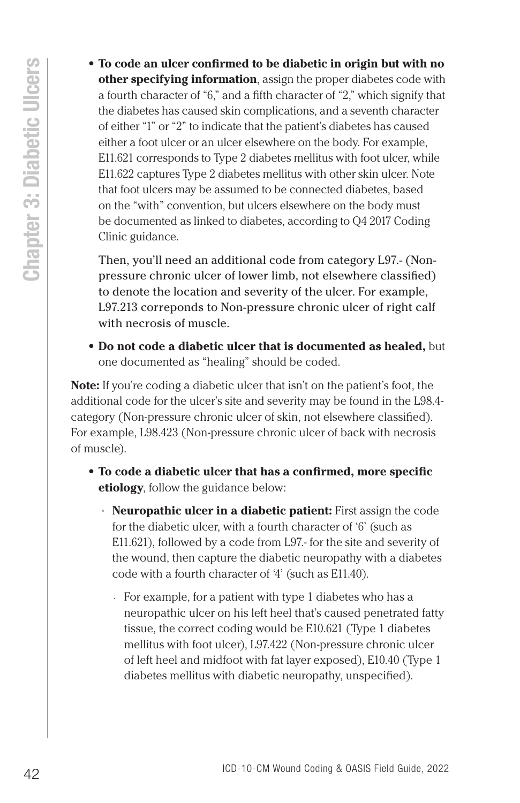- 
- **42 Co code and and coding and the distribution** in the distribution of  $\alpha$  is the distribution of  $\alpha$  is the distribution of  $\alpha$  is the dishedes has caused site moment of the dishedes has caused site momentum cont **• To code an ulcer confirmed to be diabetic in origin but with no other specifying information**, assign the proper diabetes code with a fourth character of "6," and a fifth character of "2," which signify that the diabetes has caused skin complications, and a seventh character of either "1" or "2" to indicate that the patient's diabetes has caused either a foot ulcer or an ulcer elsewhere on the body. For example, E11.621 corresponds to Type 2 diabetes mellitus with foot ulcer, while E11.622 captures Type 2 diabetes mellitus with other skin ulcer. Note that foot ulcers may be assumed to be connected diabetes, based on the "with" convention, but ulcers elsewhere on the body must be documented as linked to diabetes, according to Q4 2017 Coding Clinic guidance.

Then, you'll need an additional code from category L97.- (Nonpressure chronic ulcer of lower limb, not elsewhere classified) to denote the location and severity of the ulcer. For example, L97.213 correponds to Non-pressure chronic ulcer of right calf with necrosis of muscle.

**• Do not code a diabetic ulcer that is documented as healed,** but one documented as "healing" should be coded.

**Note:** If you're coding a diabetic ulcer that isn't on the patient's foot, the additional code for the ulcer's site and severity may be found in the L98.4 category (Non-pressure chronic ulcer of skin, not elsewhere classified). For example, L98.423 (Non-pressure chronic ulcer of back with necrosis of muscle).

- **• To code a diabetic ulcer that has a confirmed, more specific etiology**, follow the guidance below:
	- ° **Neuropathic ulcer in a diabetic patient:** First assign the code for the diabetic ulcer, with a fourth character of '6' (such as E11.621), followed by a code from L97.- for the site and severity of the wound, then capture the diabetic neuropathy with a diabetes code with a fourth character of '4' (such as E11.40).
		- For example, for a patient with type 1 diabetes who has a neuropathic ulcer on his left heel that's caused penetrated fatty tissue, the correct coding would be E10.621 (Type 1 diabetes mellitus with foot ulcer), L97.422 (Non-pressure chronic ulcer of left heel and midfoot with fat layer exposed), E10.40 (Type 1 diabetes mellitus with diabetic neuropathy, unspecified).